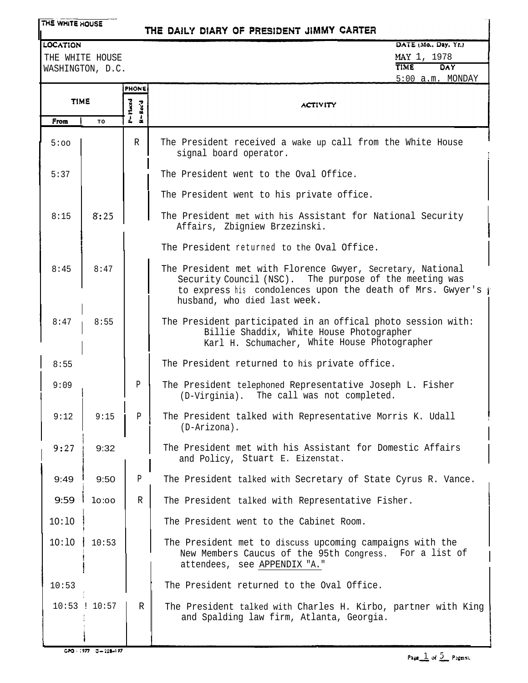## THE DAILY DIARY OF PRESIDENT JIMMY CARTER

#### **LOCATION**

THE WHITE HOUSE WASHINGTON, D.C.

```
DATE (Mo., Day, Yr.)
MAY 1, 1978<br>TIME DAY
TIME DAY
5:00 a.m. MONDAY
```

|             |         | <b>PHONE</b>      |                                                                                                                                                                                                                   |
|-------------|---------|-------------------|-------------------------------------------------------------------------------------------------------------------------------------------------------------------------------------------------------------------|
| <b>TIME</b> |         | P=17aced<br>Rec'd | <b>ACTIVITY</b>                                                                                                                                                                                                   |
| From        | TO      |                   |                                                                                                                                                                                                                   |
| 5:00        |         | $\mathbb{R}$      | The President received a wake up call from the White House<br>signal board operator.                                                                                                                              |
| 5:37        |         |                   | The President went to the Oval Office.                                                                                                                                                                            |
|             |         |                   | The President went to his private office.                                                                                                                                                                         |
| 8:15        | 8:25    |                   | The President met with his Assistant for National Security<br>Affairs, Zbigniew Brzezinski.                                                                                                                       |
|             |         |                   | The President returned to the Oval Office.                                                                                                                                                                        |
| 8:45        | 8:47    |                   | The President met with Florence Gwyer, Secretary, National<br>Security Council (NSC). The purpose of the meeting was<br>to express his condolences upon the death of Mrs. Gwyer's<br>husband, who died last week. |
| 8:47        | 8:55    |                   | The President participated in an offical photo session with:<br>Billie Shaddix, White House Photographer<br>Karl H. Schumacher, White House Photographer                                                          |
| 8:55        |         |                   | The President returned to his private office.                                                                                                                                                                     |
| 9:09        |         | Ρ                 | The President telephoned Representative Joseph L. Fisher<br>(D-Virginia). The call was not completed.                                                                                                             |
| 9:12        | 9:15    | $\mathbf{P}$      | The President talked with Representative Morris K. Udall<br>(D-Arizona).                                                                                                                                          |
| 9:27        | 9:32    |                   | The President met with his Assistant for Domestic Affairs<br>and Policy, Stuart E. Eizenstat.                                                                                                                     |
| 9:49        | 9:50    | P                 | The President talked with Secretary of State Cyrus R. Vance.                                                                                                                                                      |
| 9:59        | 10:00   | R                 | The President talked with Representative Fisher.                                                                                                                                                                  |
| 10:10       |         |                   | The President went to the Cabinet Room.                                                                                                                                                                           |
| 10:10       | 10:53   |                   | The President met to discuss upcoming campaigns with the<br>New Members Caucus of the 95th Congress.<br>For a list of<br>attendees, see APPENDIX "A."                                                             |
| 10:53       |         |                   | The President returned to the Oval Office.                                                                                                                                                                        |
| 10:53       | : 10:57 | $\mathbb{R}$      | The President talked with Charles H. Kirbo, partner with King<br>and Spalding law firm, Atlanta, Georgia.                                                                                                         |

-1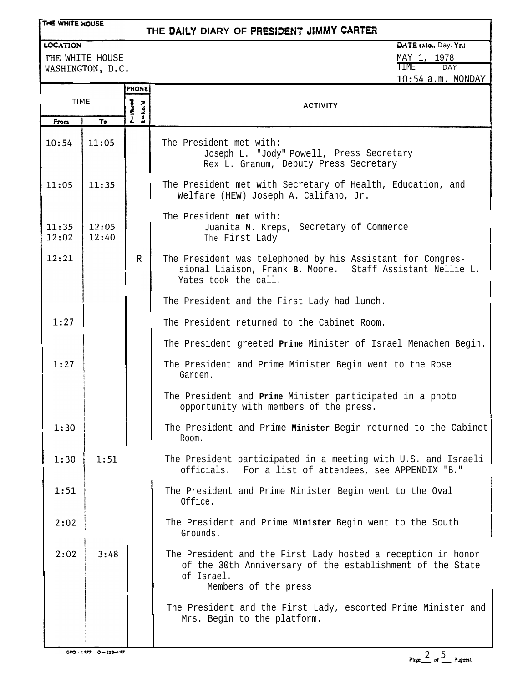# **THE DAiL'f DIARY OF PfiEStbENT JIMMY CARTER**

## LOCATION

THE WHITE HOUSE WASHINGTON, D.C. DATE (Mo., Day. Yr.)

MAY 1, 1978 TIME DAY 10:54 a.m. MONDAY

|                |                | <b>PHONE</b>       |                                                                                                                                                                 |
|----------------|----------------|--------------------|-----------------------------------------------------------------------------------------------------------------------------------------------------------------|
| <b>TIME</b>    |                | P=Maced<br>R-Rec'd | <b>ACTIVITY</b>                                                                                                                                                 |
| From           | To             |                    |                                                                                                                                                                 |
| 10:54          | 11:05          |                    | The President met with:<br>Joseph L. "Jody" Powell, Press Secretary<br>Rex L. Granum, Deputy Press Secretary                                                    |
| 11:05          | 11:35          |                    | The President met with Secretary of Health, Education, and<br>Welfare (HEW) Joseph A. Califano, Jr.                                                             |
| 11:35<br>12:02 | 12:05<br>12:40 |                    | The President met with:<br>Juanita M. Kreps, Secretary of Commerce<br>The First Lady                                                                            |
| 12:21          |                | R                  | The President was telephoned by his Assistant for Congres-<br>sional Liaison, Frank B. Moore. Staff Assistant Nellie L.<br>Yates took the call.                 |
|                |                |                    | The President and the First Lady had lunch.                                                                                                                     |
| 1:27           |                |                    | The President returned to the Cabinet Room.                                                                                                                     |
|                |                |                    | The President greeted Prime Minister of Israel Menachem Begin.                                                                                                  |
| 1:27           |                |                    | The President and Prime Minister Begin went to the Rose<br>Garden.                                                                                              |
|                |                |                    | The President and Prime Minister participated in a photo<br>opportunity with members of the press.                                                              |
| 1:30           |                |                    | The President and Prime Minister Begin returned to the Cabinet<br>Room.                                                                                         |
| 1:30           | 1:51           |                    | The President participated in a meeting with U.S. and Israeli  <br>officials. For a list of attendees, see APPENDIX "B."                                        |
| 1:51           |                |                    | The President and Prime Minister Begin went to the Oval<br>Office.                                                                                              |
| 2:02           |                |                    | The President and Prime Minister Begin went to the South<br>Grounds.                                                                                            |
| 2:02           | 3:48           |                    | The President and the First Lady hosted a reception in honor<br>of the 30th Anniversary of the establishment of the State<br>of Israel.<br>Members of the press |
|                |                |                    | The President and the First Lady, escorted Prime Minister and<br>Mrs. Begin to the platform.                                                                    |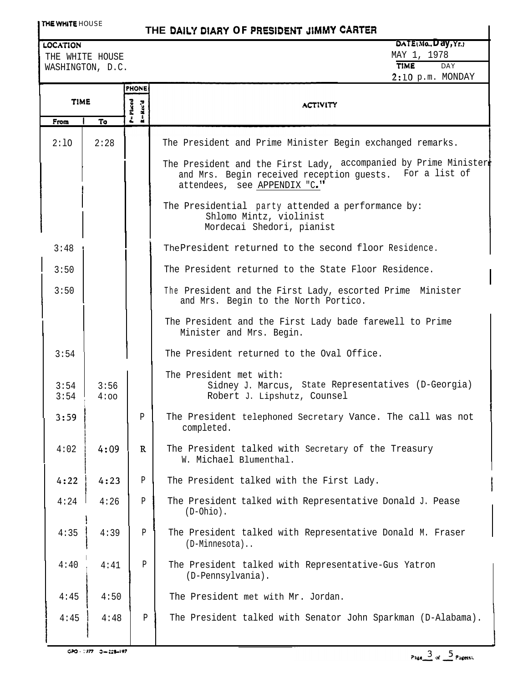# **THE** DAILY DIARY **OF PRESibEhiT JIMMY CARTER**

## **LOCATION**

THE WHITE HOUSE THE WAY 1, 1978 WASHINGTON, D.C.

|              |              | <b>PHONE</b>           |                                                                                                                                                            |
|--------------|--------------|------------------------|------------------------------------------------------------------------------------------------------------------------------------------------------------|
| <b>TIME</b>  |              | $P = P$ laced<br>Rec'd | <b>ACTIVITY</b>                                                                                                                                            |
| From         | To           | $\frac{1}{2}$          |                                                                                                                                                            |
| 2:10         | 2:28         |                        | The President and Prime Minister Begin exchanged remarks.                                                                                                  |
|              |              |                        | The President and the First Lady, accompanied by Prime Minister<br>and Mrs. Begin received reception guests. For a list of<br>attendees, see APPENDIX "C." |
|              |              |                        | The Presidential party attended a performance by:<br>Shlomo Mintz, violinist<br>Mordecai Shedori, pianist                                                  |
| 3:48         |              |                        | The President returned to the second floor Residence.                                                                                                      |
| 3:50         |              |                        | The President returned to the State Floor Residence.                                                                                                       |
| 3:50         |              |                        | The President and the First Lady, escorted Prime Minister<br>and Mrs. Begin to the North Portico.                                                          |
|              |              |                        | The President and the First Lady bade farewell to Prime<br>Minister and Mrs. Begin.                                                                        |
| 3:54         |              |                        | The President returned to the Oval Office.                                                                                                                 |
| 3:54<br>3:54 | 3:56<br>4:00 |                        | The President met with:<br>Sidney J. Marcus, State Representatives (D-Georgia)<br>Robert J. Lipshutz, Counsel                                              |
| 3:59         |              | $\mathbf{P}$           | The President telephoned Secretary Vance. The call was not<br>completed.                                                                                   |
| 4:02         | 4:09         | $\mathbb{R}$           | The President talked with Secretary of the Treasury<br>W. Michael Blumenthal.                                                                              |
| 4:22         | 4:23         | ${\tt P}$              | The President talked with the First Lady.                                                                                                                  |
| 4:24         | 4:26         | $\, {\bf p}$           | The President talked with Representative Donald J. Pease<br>$(D-Ohio)$ .                                                                                   |
| 4:35         | 4:39         | P                      | The President talked with Representative Donald M. Fraser<br>(D-Minnesota)                                                                                 |
| 4:40         | 4:41         | P                      | The President talked with Representative-Gus Yatron<br>(D-Pennsylvania).                                                                                   |
| 4:45         | 4:50         |                        | The President met with Mr. Jordan.                                                                                                                         |
| 4:45         | 4:48         | Ρ                      | The President talked with Senator John Sparkman (D-Alabama).                                                                                               |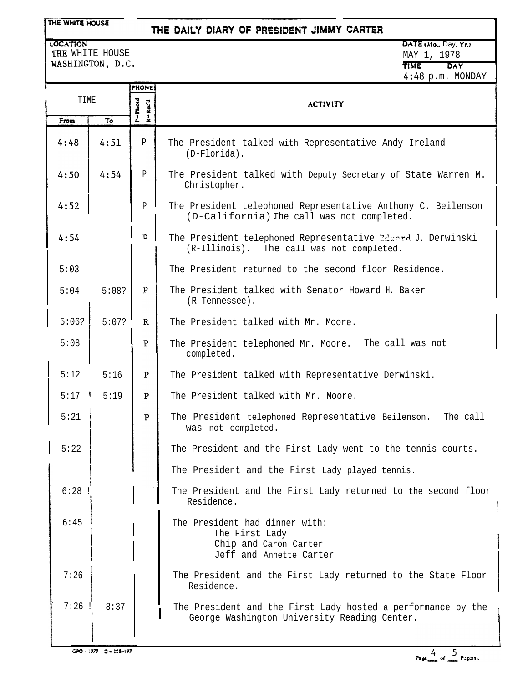# THE DAILY DIARY OF PRESIDENT JIMMY CARTER

LOCATION THE WHITE HOUSE WASHINGTON, D.C. DATE (Mo., Day, Yr.) MAY 1, 1978 **TME** DAY 4:48 p.m. MONDAY

|       |       | <b>PHONE</b>                            |                                                                                                              |
|-------|-------|-----------------------------------------|--------------------------------------------------------------------------------------------------------------|
| TIME  |       | $P = P$ inced<br>Rec'd<br>$\frac{3}{4}$ | <b>ACTIVITY</b>                                                                                              |
| From  | To    |                                         |                                                                                                              |
| 4:48  | 4:51  | P                                       | The President talked with Representative Andy Ireland<br>$(D-Florida)$ .                                     |
| 4:50  | 4:54  | P                                       | The President talked with Deputy Secretary of State Warren M.<br>Christopher.                                |
| 4:52  |       | $\mathbf{P}$                            | The President telephoned Representative Anthony C. Beilenson<br>(D-California) The call was not completed.   |
| 4:54  |       | D                                       | The President telephoned Representative Edward J. Derwinski<br>(R-Illinois). The call was not completed.     |
| 5:03  |       |                                         | The President returned to the second floor Residence.                                                        |
| 5:04  | 5:08? | $\mathbf P$                             | The President talked with Senator Howard H. Baker<br>(R-Tennessee).                                          |
| 5:06? | 5:07? | $\mathbb{R}$                            | The President talked with Mr. Moore.                                                                         |
| 5:08  |       | P                                       | The President telephoned Mr. Moore. The call was not<br>completed.                                           |
| 5:12  | 5:16  | P                                       | The President talked with Representative Derwinski.                                                          |
| 5:17  | 5:19  | P                                       | The President talked with Mr. Moore.                                                                         |
| 5:21  |       | $\overline{P}$                          | The President telephoned Representative Beilenson.<br>The call<br>was not completed.                         |
| 5:22  |       |                                         | The President and the First Lady went to the tennis courts.                                                  |
|       |       |                                         | The President and the First Lady played tennis.                                                              |
| 6:28  |       |                                         | The President and the First Lady returned to the second floor<br>Residence.                                  |
| 6:45  |       |                                         | The President had dinner with:<br>The First Lady<br>Chip and Caron Carter<br>Jeff and Annette Carter         |
| 7:26  |       |                                         | The President and the First Lady returned to the State Floor<br>Residence.                                   |
| 7:26  | 8:37  |                                         | The President and the First Lady hosted a performance by the<br>George Washington University Reading Center. |

i

i.